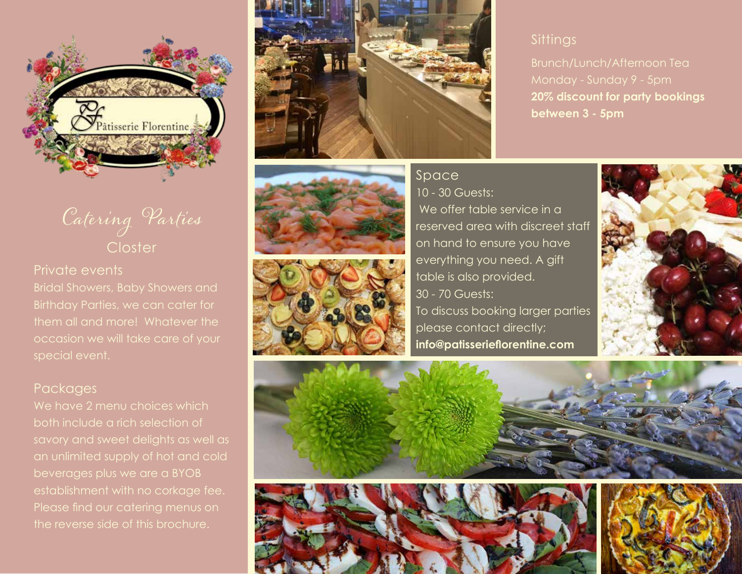

# Catering Parties **Closter**

#### Private events

Bridal Showers, Baby Showers and them all and more! Whatever the occasion we will take care of your special event.

#### **Packages**

We have 2 menu choices which both include a rich selection of savory and sweet delights as well as an unlimited supply of hot and cold beverages plus we are a BYOB establishment with no corkage fee. Please find our catering menus on the reverse side of this brochure.







## **Sittings**

Brunch/Lunch/Afternoon Tea **20% discount for party bookings between 3 - 5pm** 

### **Space**

10 - 30 Guests: We offer table service in a reserved area with discreet staff on hand to ensure you have everything you need. A gift table is also provided. 30 - 70 Guests: To discuss booking larger parties please contact directly; **info@patisserieflorentine.com**